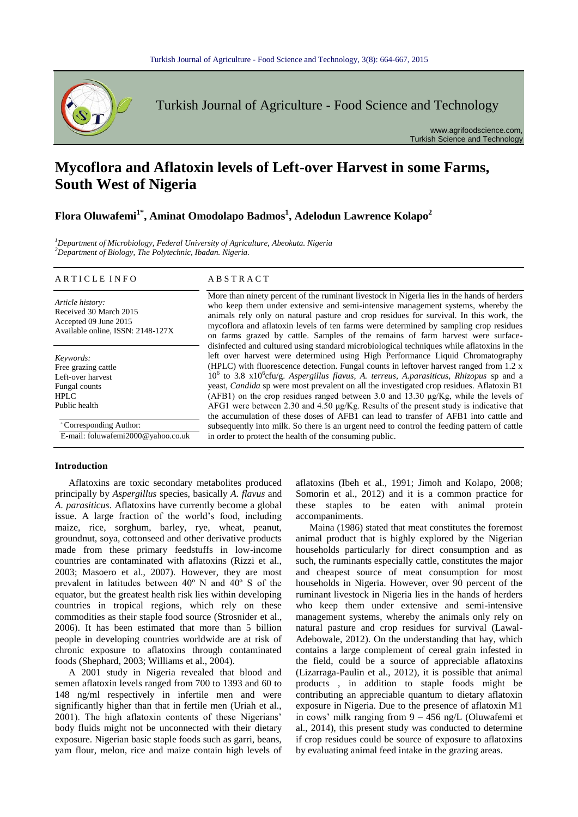

Turkish Journal of Agriculture - Food Science and Technology

www.agrifoodscience.com, Turkish Science and Technology

# **Mycoflora and Aflatoxin levels of Left-over Harvest in some Farms, South West of Nigeria**

## **Flora Oluwafemi1\* , Aminat Omodolapo Badmos<sup>1</sup> , Adelodun Lawrence Kolapo<sup>2</sup>**

*<sup>1</sup>Department of Microbiology, Federal University of Agriculture, Abeokuta. Nigeria <sup>2</sup>Department of Biology, The Polytechnic, Ibadan. Nigeria.*

#### A R T I C L E I N F O A B S T R A C T

*Article history:* Received 30 March 2015 Accepted 09 June 2015 Available online, ISSN: 2148-127X

*Keywords:* Free grazing cattle Left-over harvest Fungal counts HPL $\Gamma$ Public health

\* Corresponding Author:

E-mail: foluwafemi2000@yahoo.co.uk

More than ninety percent of the ruminant livestock in Nigeria lies in the hands of herders who keep them under extensive and semi-intensive management systems, whereby the animals rely only on natural pasture and crop residues for survival. In this work, the mycoflora and aflatoxin levels of ten farms were determined by sampling crop residues on farms grazed by cattle. Samples of the remains of farm harvest were surfacedisinfected and cultured using standard microbiological techniques while aflatoxins in the left over harvest were determined using High Performance Liquid Chromatography (HPLC) with fluorescence detection. Fungal counts in leftover harvest ranged from 1.2 x 10<sup>6</sup> to 3.8 x10<sup>6</sup>cfu/g. Aspergillus flavus, A. terreus, A.parasiticus, Rhizopus sp and a yeast, *Candida* sp were most prevalent on all the investigated crop residues. Aflatoxin B1 (AFB1) on the crop residues ranged between 3.0 and 13.30 μg/Kg, while the levels of AFG1 were between 2.30 and 4.50  $\mu$ g/Kg. Results of the present study is indicative that the accumulation of these doses of AFB1 can lead to transfer of AFB1 into cattle and subsequently into milk. So there is an urgent need to control the feeding pattern of cattle in order to protect the health of the consuming public.

#### **Introduction**

Aflatoxins are toxic secondary metabolites produced principally by *Aspergillus* species, basically *A. flavus* and *A. parasiticus*. Aflatoxins have currently become a global issue. A large fraction of the world's food, including maize, rice, sorghum, barley, rye, wheat, peanut, groundnut, soya, cottonseed and other derivative products made from these primary feedstuffs in low-income countries are contaminated with aflatoxins (Rizzi et al., 2003; Masoero et al., 2007). However, they are most prevalent in latitudes between 40º N and 40º S of the equator, but the greatest health risk lies within developing countries in tropical regions, which rely on these commodities as their staple food source (Strosnider et al., 2006). It has been estimated that more than 5 billion people in developing countries worldwide are at risk of chronic exposure to aflatoxins through contaminated foods (Shephard, 2003; Williams et al., 2004).

A 2001 study in Nigeria revealed that blood and semen aflatoxin levels ranged from 700 to 1393 and 60 to 148 ng/ml respectively in infertile men and were significantly higher than that in fertile men (Uriah et al., 2001). The high aflatoxin contents of these Nigerians' body fluids might not be unconnected with their dietary exposure. Nigerian basic staple foods such as garri, beans, yam flour, melon, rice and maize contain high levels of aflatoxins (Ibeh et al., 1991; Jimoh and Kolapo, 2008; Somorin et al., 2012) and it is a common practice for these staples to be eaten with animal protein accompaniments.

Maina (1986) stated that meat constitutes the foremost animal product that is highly explored by the Nigerian households particularly for direct consumption and as such, the ruminants especially cattle, constitutes the major and cheapest source of meat consumption for most households in Nigeria. However, over 90 percent of the ruminant livestock in Nigeria lies in the hands of herders who keep them under extensive and semi-intensive management systems, whereby the animals only rely on natural pasture and crop residues for survival (Lawal-Adebowale, 2012). On the understanding that hay, which contains a large complement of cereal grain infested in the field, could be a source of appreciable aflatoxins (Lizarraga-Paulin et al., 2012), it is possible that animal products , in addition to staple foods might be contributing an appreciable quantum to dietary aflatoxin exposure in Nigeria. Due to the presence of aflatoxin M1 in cows' milk ranging from 9 – 456 ng/L (Oluwafemi et al., 2014), this present study was conducted to determine if crop residues could be source of exposure to aflatoxins by evaluating animal feed intake in the grazing areas.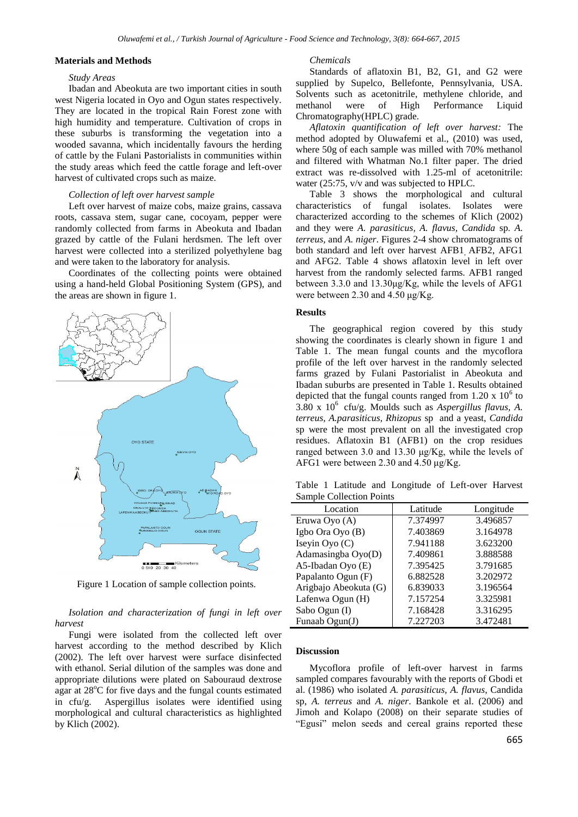### **Materials and Methods**

#### *Study Areas*

Ibadan and Abeokuta are two important cities in south west Nigeria located in Oyo and Ogun states respectively. They are located in the tropical Rain Forest zone with high humidity and temperature. Cultivation of crops in these suburbs is transforming the vegetation into a wooded savanna, which incidentally favours the herding of cattle by the Fulani Pastorialists in communities within the study areas which feed the cattle forage and left-over harvest of cultivated crops such as maize.

#### *Collection of left over harvest sample*

Left over harvest of maize cobs, maize grains, cassava roots, cassava stem, sugar cane, cocoyam, pepper were randomly collected from farms in Abeokuta and Ibadan grazed by cattle of the Fulani herdsmen. The left over harvest were collected into a sterilized polyethylene bag and were taken to the laboratory for analysis.

Coordinates of the collecting points were obtained using a hand-held Global Positioning System (GPS), and the areas are shown in figure 1.



Figure 1 Location of sample collection points.

*Isolation and characterization of fungi in left over harvest*

Fungi were isolated from the collected left over harvest according to the method described by Klich (2002). The left over harvest were surface disinfected with ethanol. Serial dilution of the samples was done and appropriate dilutions were plated on Sabouraud dextrose agar at  $28^{\circ}$ C for five days and the fungal counts estimated in cfu/g. Aspergillus isolates were identified using morphological and cultural characteristics as highlighted by Klich (2002).

#### *Chemicals*

Standards of aflatoxin B1, B2, G1, and G2 were supplied by Supelco, Bellefonte, Pennsylvania, USA. Solvents such as acetonitrile, methylene chloride, and methanol were of High Performance Liquid Chromatography(HPLC) grade.

*Aflatoxin quantification of left over harvest:* The method adopted by Oluwafemi et al., (2010) was used, where 50g of each sample was milled with 70% methanol and filtered with Whatman No.1 filter paper. The dried extract was re-dissolved with 1.25-ml of acetonitrile: water (25:75, v/v and was subjected to HPLC.

Table 3 shows the morphological and cultural characteristics of fungal isolates. Isolates were characterized according to the schemes of Klich (2002) and they were *A. parasiticus, A. flavus, Candida* sp*. A. terreus,* and *A. niger*. Figures 2-4 show chromatograms of both standard and left over harvest AFB1, AFB2, AFG1 and AFG2. Table 4 shows aflatoxin level in left over harvest from the randomly selected farms. AFB1 ranged between 3.3.0 and 13.30μg/Kg, while the levels of AFG1 were between 2.30 and 4.50 μg/Kg.

#### **Results**

The geographical region covered by this study showing the coordinates is clearly shown in figure 1 and Table 1. The mean fungal counts and the mycoflora profile of the left over harvest in the randomly selected farms grazed by Fulani Pastorialist in Abeokuta and Ibadan suburbs are presented in Table 1. Results obtained depicted that the fungal counts ranged from  $1.20 \times 10^6$  to  $3.80 \times 10^6$  cfu/g. Moulds such as *Aspergillus flavus*, A. *terreus, A.parasiticus, Rhizopus* sp and a yeast, *Candida* sp were the most prevalent on all the investigated crop residues. Aflatoxin B1 (AFB1) on the crop residues ranged between 3.0 and 13.30 μg/Kg, while the levels of AFG1 were between 2.30 and 4.50 μg/Kg.

Table 1 Latitude and Longitude of Left-over Harvest Sample Collection Points

| Location              | Latitude | Longitude |
|-----------------------|----------|-----------|
| Eruwa Oyo (A)         | 7.374997 | 3.496857  |
| Igbo Ora Oyo (B)      | 7.403869 | 3.164978  |
| Iseyin Oyo (C)        | 7.941188 | 3.623200  |
| Adamasingba Oyo(D)    | 7.409861 | 3.888588  |
| A5-Ibadan Oyo (E)     | 7.395425 | 3.791685  |
| Papalanto Ogun (F)    | 6.882528 | 3.202972  |
| Arigbajo Abeokuta (G) | 6.839033 | 3.196564  |
| Lafenwa Ogun (H)      | 7.157254 | 3.325981  |
| Sabo Ogun (I)         | 7.168428 | 3.316295  |
| Funaab Ogun(J)        | 7.227203 | 3.472481  |

### **Discussion**

Mycoflora profile of left-over harvest in farms sampled compares favourably with the reports of Gbodi et al. (1986) who isolated *A. parasiticus, A. flavus*, Candida sp, *A. terreus* and *A. niger*. Bankole et al. (2006) and Jimoh and Kolapo (2008) on their separate studies of "Egusi" melon seeds and cereal grains reported these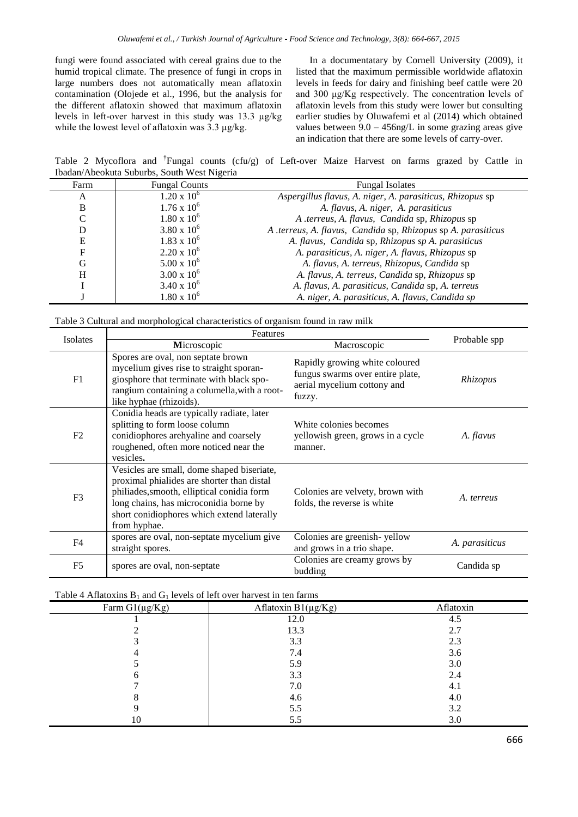fungi were found associated with cereal grains due to the humid tropical climate. The presence of fungi in crops in large numbers does not automatically mean aflatoxin contamination (Olojede et al., 1996, but the analysis for the different aflatoxin showed that maximum aflatoxin levels in left-over harvest in this study was 13.3 µg/kg while the lowest level of aflatoxin was 3.3 µg/kg.

In a documentatary by Cornell University (2009), it listed that the maximum permissible worldwide aflatoxin levels in feeds for dairy and finishing beef cattle were 20 and 300 μg/Kg respectively. The concentration levels of aflatoxin levels from this study were lower but consulting earlier studies by Oluwafemi et al (2014) which obtained values between  $9.0 - 456$ ng/L in some grazing areas give an indication that there are some levels of carry-over.

Table 2 Mycoflora and <sup>†</sup>Fungal counts (cfu/g) of Left-over Maize Harvest on farms grazed by Cattle in Ibadan/Abeokuta Suburbs, South West Nigeria

| Farm | <b>Fungal Counts</b> | <b>Fungal Isolates</b>                                        |
|------|----------------------|---------------------------------------------------------------|
| A    | $1.20 \times 10^{6}$ | Aspergillus flavus, A. niger, A. parasiticus, Rhizopus sp     |
| B    | $1.76 \times 10^6$   | A. flavus, A. niger, A. parasiticus                           |
|      | $1.80 \times 10^6$   | A .terreus, A. flavus, Candida sp, Rhizopus sp                |
| D    | $3.80 \times 10^{6}$ | A .terreus, A. flavus, Candida sp, Rhizopus sp A. parasiticus |
| E    | $1.83 \times 10^6$   | A. flavus, Candida sp, Rhizopus sp A. parasiticus             |
| F    | $2.20 \times 10^6$   | A. parasiticus, A. niger, A. flavus, Rhizopus sp              |
| G    | $5.00 \times 10^6$   | A. flavus, A. terreus, Rhizopus, Candida sp                   |
| H    | $3.00 \times 10^6$   | A. flavus, A. terreus, Candida sp, Rhizopus sp                |
|      | $3.40 \times 10^6$   | A. flavus, A. parasiticus, Candida sp, A. terreus             |
|      | $1.80 \times 10^6$   | A. niger, A. parasiticus, A. flavus, Candida sp               |

Table 3 Cultural and morphological characteristics of organism found in raw milk

| <b>Isolates</b> | Features                                                                                                                                                                                                                                       |                                                                                                             | Probable spp   |
|-----------------|------------------------------------------------------------------------------------------------------------------------------------------------------------------------------------------------------------------------------------------------|-------------------------------------------------------------------------------------------------------------|----------------|
|                 | Microscopic                                                                                                                                                                                                                                    | Macroscopic                                                                                                 |                |
| F1              | Spores are oval, non septate brown<br>mycelium gives rise to straight sporan-<br>giosphore that terminate with black spo-<br>rangium containing a columella, with a root-<br>like hyphae (rhizoids).                                           | Rapidly growing white coloured<br>fungus swarms over entire plate,<br>aerial mycelium cottony and<br>fuzzy. | Rhizopus       |
| F <sub>2</sub>  | Conidia heads are typically radiate, later<br>splitting to form loose column<br>conidiophores arehyaline and coarsely<br>roughened, often more noticed near the<br>vesicles.                                                                   | White colonies becomes<br>yellowish green, grows in a cycle<br>manner.                                      | A. flavus      |
| F <sub>3</sub>  | Vesicles are small, dome shaped biseriate,<br>proximal phialides are shorter than distal<br>philiades, smooth, elliptical conidia form<br>long chains, has microconidia borne by<br>short conidiophores which extend laterally<br>from hyphae. | Colonies are velvety, brown with<br>folds, the reverse is white                                             | A. terreus     |
| F <sub>4</sub>  | spores are oval, non-septate mycelium give<br>straight spores.                                                                                                                                                                                 | Colonies are greenish-yellow<br>and grows in a trio shape.                                                  | A. parasiticus |
| F <sub>5</sub>  | spores are oval, non-septate                                                                                                                                                                                                                   | Colonies are creamy grows by<br>budding                                                                     | Candida sp     |

#### Table 4 Aflatoxins  $B_1$  and  $G_1$  levels of left over harvest in ten farms

| Farm $Gl(\mu g/Kg)$ | Aflatoxin $B1(\mu g/Kg)$ | Aflatoxin |
|---------------------|--------------------------|-----------|
|                     | 12.0                     | 4.5       |
|                     | 13.3                     | 2.7       |
|                     | 3.3                      | 2.3       |
|                     | 7.4                      | 3.6       |
|                     | 5.9                      | 3.0       |
|                     | 3.3                      | 2.4       |
|                     | 7.0                      | 4.1       |
|                     | 4.6                      | 4.0       |
|                     | 5.5                      | 3.2       |
| 10                  | 5.5                      | 3.0       |